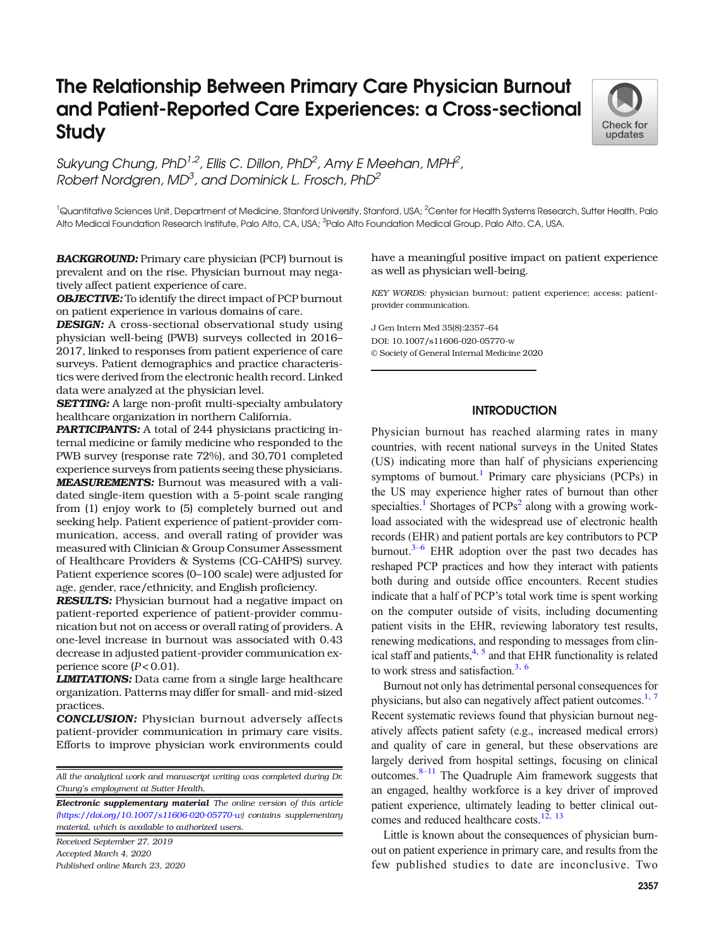# The Relationship Between Primary Care Physician Burnout and Patient-Reported Care Experiences: a Cross-sectional **Study**



Sukyung Chung, PhD $^{1,2}$ , Ellis C. Dillon, PhD $^{2}$ , Amy E Meehan, MPH $^{2}$ , Robert Nordgren, MD $^3$ , and Dominick L. Frosch, PhD $^2$ 

<sup>1</sup>Quantitative Sciences Unit, Department of Medicine, Stanford University, Stanford, USA; <sup>2</sup>Center for Health Systems Research, Sutter Health, Palc Alto Medical Foundation Research Institute, Palo Alto, CA, USA; <sup>3</sup>Palo Alto Foundation Medical Group, Palo Alto, CA, USA.

BACKGROUND: Primary care physician (PCP) burnout is prevalent and on the rise. Physician burnout may negatively affect patient experience of care.

OBJECTIVE: To identify the direct impact of PCP burnout on patient experience in various domains of care.

DESIGN: A cross-sectional observational study using physician well-being (PWB) surveys collected in 2016– 2017, linked to responses from patient experience of care surveys. Patient demographics and practice characteristics were derived from the electronic health record. Linked data were analyzed at the physician level.

**SETTING:** A large non-profit multi-specialty ambulatory healthcare organization in northern California.

PARTICIPANTS: A total of 244 physicians practicing internal medicine or family medicine who responded to the PWB survey (response rate 72%), and 30,701 completed experience surveys from patients seeing these physicians.

MEASUREMENTS: Burnout was measured with a validated single-item question with a 5-point scale ranging from (1) enjoy work to (5) completely burned out and seeking help. Patient experience of patient-provider communication, access, and overall rating of provider was measured with Clinician & Group Consumer Assessment of Healthcare Providers & Systems (CG-CAHPS) survey. Patient experience scores (0–100 scale) were adjusted for age, gender, race/ethnicity, and English proficiency.

RESULTS: Physician burnout had a negative impact on patient-reported experience of patient-provider communication but not on access or overall rating of providers. A one-level increase in burnout was associated with 0.43 decrease in adjusted patient-provider communication experience score  $(P<0.01)$ .

LIMITATIONS: Data came from a single large healthcare organization. Patterns may differ for small- and mid-sized practices.

CONCLUSION: Physician burnout adversely affects patient-provider communication in primary care visits. Efforts to improve physician work environments could

All the analytical work and manuscript writing was completed during Dr. Chung's employment at Sutter Health.

**Electronic supplementary material** The online version of this article ([https://doi.org/10.1007/s11606-020-05770-w\)](http://dx.doi.org/10.1007/s11606-020-05770-w) contains supplementary material, which is available to authorized users.

Received September 27, 2019 Accepted March 4, 2020 Published online March 23, 2020

#### have a meaningful positive impact on patient experience as well as physician well-being.

KEY WORDS: physician burnout; patient experience; access; patientprovider communication.

DOI: 10.1007/s11606-020-05770-w © Society of General Internal Medicine 2020 J Gen Intern Med 35(8):2357–64

## **INTRODUCTION**

Physician burnout has reached alarming rates in many countries, with recent national surveys in the United States (US) indicating more than half of physicians experiencing symptoms of burnout.<sup>[1](#page-6-0)</sup> Primary care physicians (PCPs) in the US may experience higher rates of burnout than other specialties.<sup>1</sup> Shortages of  $PCPs<sup>2</sup>$  $PCPs<sup>2</sup>$  $PCPs<sup>2</sup>$  along with a growing workload associated with the widespread use of electronic health records (EHR) and patient portals are key contributors to PCP burnout. $3-6$  $3-6$  $3-6$  EHR adoption over the past two decades has reshaped PCP practices and how they interact with patients both during and outside office encounters. Recent studies indicate that a half of PCP's total work time is spent working on the computer outside of visits, including documenting patient visits in the EHR, reviewing laboratory test results, renewing medications, and responding to messages from clinical staff and patients,  $4.5$  $4.5$  and that EHR functionality is related to work stress and satisfaction.<sup>3, [6](#page-6-0)</sup>

Burnout not only has detrimental personal consequences for physicians, but also can negatively affect patient outcomes.<sup>[1](#page-6-0), [7](#page-6-0)</sup> Recent systematic reviews found that physician burnout negatively affects patient safety (e.g., increased medical errors) and quality of care in general, but these observations are largely derived from hospital settings, focusing on clinical outcomes. $8-11$  $8-11$  The Quadruple Aim framework suggests that an engaged, healthy workforce is a key driver of improved patient experience, ultimately leading to better clinical outcomes and reduced healthcare costs. $12, 13$  $12, 13$ 

Little is known about the consequences of physician burnout on patient experience in primary care, and results from the few published studies to date are inconclusive. Two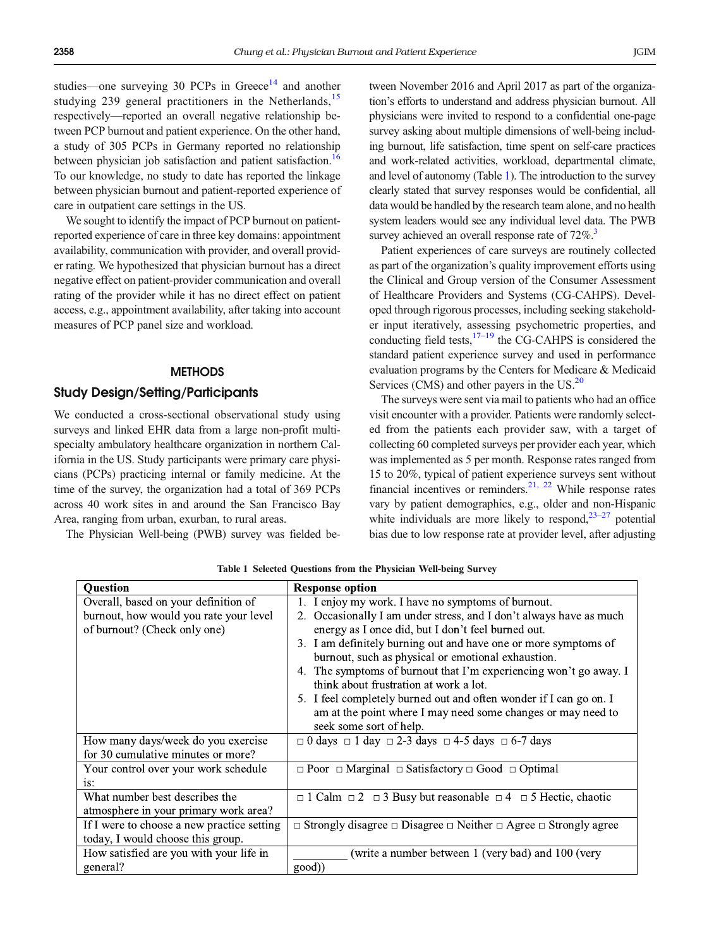<span id="page-1-0"></span>studies—one surveying  $30$  PCPs in Greece<sup>[14](#page-6-0)</sup> and another studying 239 general practitioners in the Netherlands, $15$ respectively—reported an overall negative relationship between PCP burnout and patient experience. On the other hand, a study of 305 PCPs in Germany reported no relationship between physician job satisfaction and patient satisfaction.<sup>[16](#page-6-0)</sup> To our knowledge, no study to date has reported the linkage between physician burnout and patient-reported experience of care in outpatient care settings in the US.

We sought to identify the impact of PCP burnout on patientreported experience of care in three key domains: appointment availability, communication with provider, and overall provider rating. We hypothesized that physician burnout has a direct negative effect on patient-provider communication and overall rating of the provider while it has no direct effect on patient access, e.g., appointment availability, after taking into account measures of PCP panel size and workload.

#### **METHODS**

## Study Design/Setting/Participants

We conducted a cross-sectional observational study using surveys and linked EHR data from a large non-profit multispecialty ambulatory healthcare organization in northern California in the US. Study participants were primary care physicians (PCPs) practicing internal or family medicine. At the time of the survey, the organization had a total of 369 PCPs across 40 work sites in and around the San Francisco Bay Area, ranging from urban, exurban, to rural areas.

The Physician Well-being (PWB) survey was fielded be-

tween November 2016 and April 2017 as part of the organization's efforts to understand and address physician burnout. All physicians were invited to respond to a confidential one-page survey asking about multiple dimensions of well-being including burnout, life satisfaction, time spent on self-care practices and work-related activities, workload, departmental climate, and level of autonomy (Table 1). The introduction to the survey clearly stated that survey responses would be confidential, all data would be handled by the research team alone, and no health system leaders would see any individual level data. The PWB survey achieved an overall response rate of  $72\%$ .

Patient experiences of care surveys are routinely collected as part of the organization's quality improvement efforts using the Clinical and Group version of the Consumer Assessment of Healthcare Providers and Systems (CG-CAHPS). Developed through rigorous processes, including seeking stakeholder input iteratively, assessing psychometric properties, and conducting field tests, $17-19$  $17-19$  the CG-CAHPS is considered the standard patient experience survey and used in performance evaluation programs by the Centers for Medicare & Medicaid Services (CMS) and other payers in the US.<sup>[20](#page-6-0)</sup>

The surveys were sent via mail to patients who had an office visit encounter with a provider. Patients were randomly selected from the patients each provider saw, with a target of collecting 60 completed surveys per provider each year, which was implemented as 5 per month. Response rates ranged from 15 to 20%, typical of patient experience surveys sent without financial incentives or reminders.<sup>[21, 22](#page-6-0)</sup> While response rates vary by patient demographics, e.g., older and non-Hispanic white individuals are more likely to respond, $23-27$  $23-27$  potential bias due to low response rate at provider level, after adjusting

| <b>Question</b>                            | <b>Response option</b>                                                                     |
|--------------------------------------------|--------------------------------------------------------------------------------------------|
| Overall, based on your definition of       | 1. I enjoy my work. I have no symptoms of burnout.                                         |
| burnout, how would you rate your level     | 2. Occasionally I am under stress, and I don't always have as much                         |
| of burnout? (Check only one)               | energy as I once did, but I don't feel burned out.                                         |
|                                            | 3. I am definitely burning out and have one or more symptoms of                            |
|                                            | burnout, such as physical or emotional exhaustion.                                         |
|                                            | 4. The symptoms of burnout that I'm experiencing won't go away. I                          |
|                                            | think about frustration at work a lot.                                                     |
|                                            | 5. I feel completely burned out and often wonder if I can go on. I                         |
|                                            | am at the point where I may need some changes or may need to                               |
|                                            | seek some sort of help.                                                                    |
| How many days/week do you exercise         | $\Box$ 0 days $\Box$ 1 day $\Box$ 2-3 days $\Box$ 4-5 days $\Box$ 6-7 days                 |
| for 30 cumulative minutes or more?         |                                                                                            |
| Your control over your work schedule       | $\Box$ Poor $\Box$ Marginal $\Box$ Satisfactory $\Box$ Good $\Box$ Optimal                 |
| $1S$ :                                     |                                                                                            |
| What number best describes the             | $\Box$ 1 Calm $\Box$ 2 $\Box$ 3 Busy but reasonable $\Box$ 4 $\Box$ 5 Hectic, chaotic      |
| atmosphere in your primary work area?      |                                                                                            |
| If I were to choose a new practice setting | $\Box$ Strongly disagree $\Box$ Disagree $\Box$ Neither $\Box$ Agree $\Box$ Strongly agree |
| today, I would choose this group.          |                                                                                            |
| How satisfied are you with your life in    | (write a number between 1 (very bad) and 100 (very                                         |
| general?                                   | good)                                                                                      |

Table 1 Selected Questions from the Physician Well-being Survey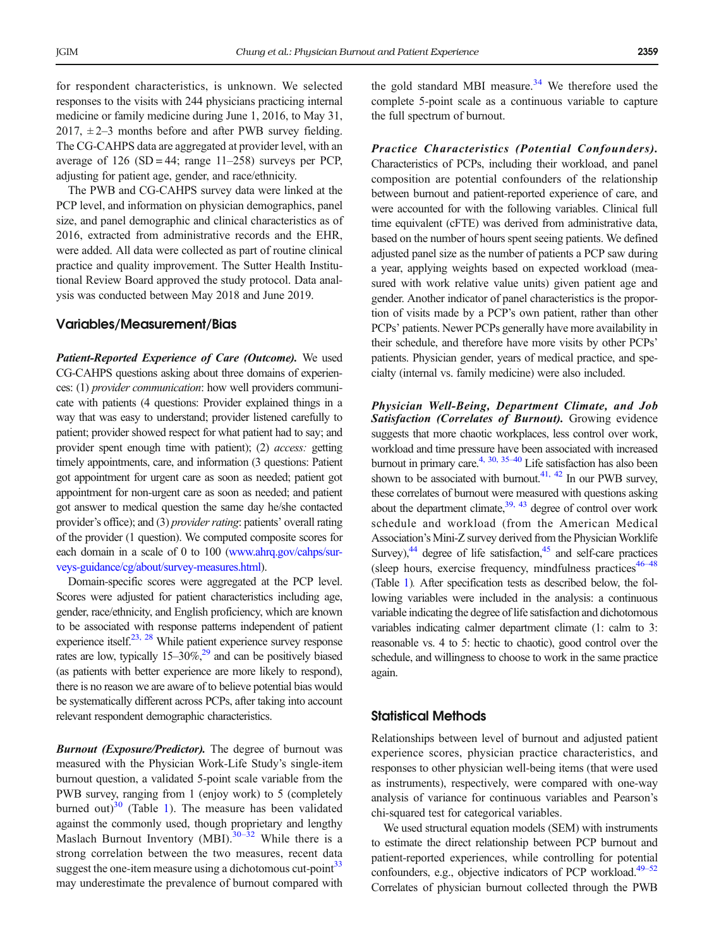The PWB and CG-CAHPS survey data were linked at the PCP level, and information on physician demographics, panel size, and panel demographic and clinical characteristics as of 2016, extracted from administrative records and the EHR, were added. All data were collected as part of routine clinical practice and quality improvement. The Sutter Health Institutional Review Board approved the study protocol. Data analysis was conducted between May 2018 and June 2019.

## Variables/Measurement/Bias

Patient-Reported Experience of Care (Outcome). We used CG-CAHPS questions asking about three domains of experiences: (1) provider communication: how well providers communicate with patients (4 questions: Provider explained things in a way that was easy to understand; provider listened carefully to patient; provider showed respect for what patient had to say; and provider spent enough time with patient); (2) access: getting timely appointments, care, and information (3 questions: Patient got appointment for urgent care as soon as needed; patient got appointment for non-urgent care as soon as needed; and patient got answer to medical question the same day he/she contacted provider's office); and (3) provider rating: patients' overall rating of the provider (1 question). We computed composite scores for each domain in a scale of 0 to 100 [\(www.ahrq.gov/cahps/sur](http://www.ahrq.gov/cahps/surveys-guidance/cg/about/survey-measures.html)[veys-guidance/cg/about/survey-measures.html\)](http://www.ahrq.gov/cahps/surveys-guidance/cg/about/survey-measures.html).

Domain-specific scores were aggregated at the PCP level. Scores were adjusted for patient characteristics including age, gender, race/ethnicity, and English proficiency, which are known to be associated with response patterns independent of patient experience itself. $^{23, 28}$  $^{23, 28}$  $^{23, 28}$  While patient experience survey response rates are low, typically  $15-30\%$ ,<sup>29</sup> and can be positively biased (as patients with better experience are more likely to respond), there is no reason we are aware of to believe potential bias would be systematically different across PCPs, after taking into account relevant respondent demographic characteristics.

**Burnout (Exposure/Predictor).** The degree of burnout was measured with the Physician Work-Life Study's single-item burnout question, a validated 5-point scale variable from the PWB survey, ranging from 1 (enjoy work) to 5 (completely burned out) $30$  (Table [1](#page-1-0)). The measure has been validated against the commonly used, though proprietary and lengthy Maslach Burnout Inventory (MBI).<sup>[30](#page-6-0)–[32](#page-6-0)</sup> While there is a strong correlation between the two measures, recent data suggest the one-item measure using a dichotomous cut-point<sup>[33](#page-6-0)</sup> may underestimate the prevalence of burnout compared with the gold standard MBI measure.<sup>[34](#page-6-0)</sup> We therefore used the complete 5-point scale as a continuous variable to capture the full spectrum of burnout.

Practice Characteristics (Potential Confounders). Characteristics of PCPs, including their workload, and panel composition are potential confounders of the relationship between burnout and patient-reported experience of care, and were accounted for with the following variables. Clinical full time equivalent (cFTE) was derived from administrative data, based on the number of hours spent seeing patients. We defined adjusted panel size as the number of patients a PCP saw during a year, applying weights based on expected workload (measured with work relative value units) given patient age and gender. Another indicator of panel characteristics is the proportion of visits made by a PCP's own patient, rather than other PCPs' patients. Newer PCPs generally have more availability in their schedule, and therefore have more visits by other PCPs' patients. Physician gender, years of medical practice, and specialty (internal vs. family medicine) were also included.

Physician Well-Being, Department Climate, and Job Satisfaction (Correlates of Burnout). Growing evidence suggests that more chaotic workplaces, less control over work, workload and time pressure have been associated with increased burnout in primary care.<sup>[4](#page-6-0), [30](#page-6-0), [35](#page-6-0)–[40](#page-6-0)</sup> Life satisfaction has also been shown to be associated with burnout.<sup>41, 42</sup> In our PWB survey, these correlates of burnout were measured with questions asking about the department climate,  $39, 43$  $39, 43$  degree of control over work schedule and workload (from the American Medical Association's Mini-Z survey derived from the Physician Worklife Survey), $44$  degree of life satisfaction, $45$  and self-care practices (sleep hours, exercise frequency, mindfulness practices $46-48$  $46-48$  $46-48$ (Table [1](#page-1-0)). After specification tests as described below, the following variables were included in the analysis: a continuous variable indicating the degree of life satisfaction and dichotomous variables indicating calmer department climate (1: calm to 3: reasonable vs. 4 to 5: hectic to chaotic), good control over the schedule, and willingness to choose to work in the same practice again.

## Statistical Methods

Relationships between level of burnout and adjusted patient experience scores, physician practice characteristics, and responses to other physician well-being items (that were used as instruments), respectively, were compared with one-way analysis of variance for continuous variables and Pearson's chi-squared test for categorical variables.

We used structural equation models (SEM) with instruments to estimate the direct relationship between PCP burnout and patient-reported experiences, while controlling for potential confounders, e.g., objective indicators of PCP workload.<sup>49–[52](#page-7-0)</sup> Correlates of physician burnout collected through the PWB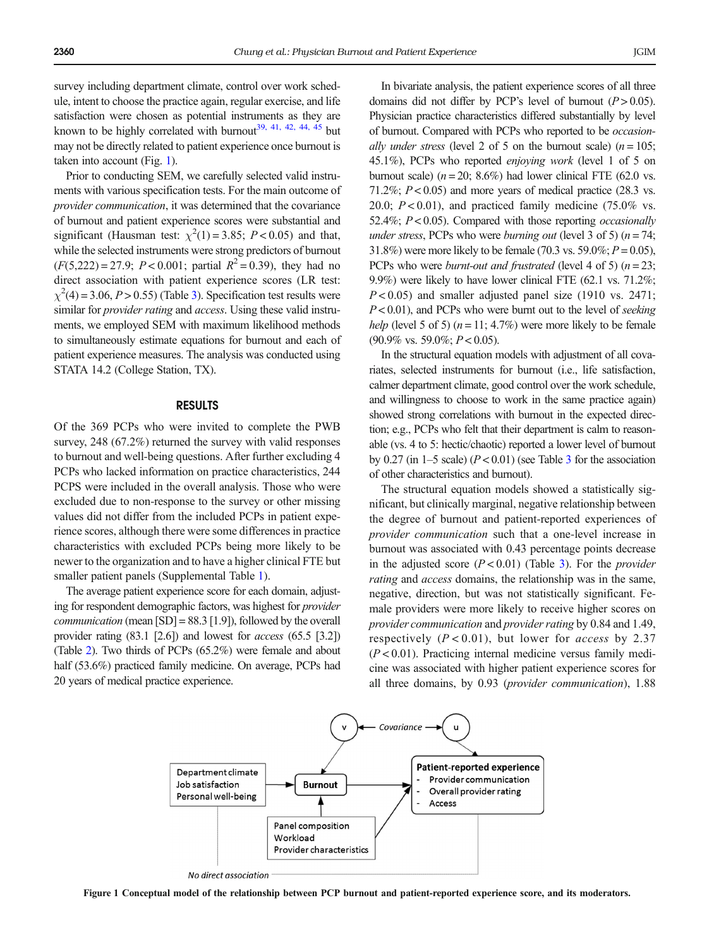survey including department climate, control over work schedule, intent to choose the practice again, regular exercise, and life satisfaction were chosen as potential instruments as they are known to be highly correlated with burnout<sup>39, [41](#page-7-0), [42, 44, 45](#page-7-0)</sup> but may not be directly related to patient experience once burnout is taken into account (Fig. 1).

Prior to conducting SEM, we carefully selected valid instruments with various specification tests. For the main outcome of provider communication, it was determined that the covariance of burnout and patient experience scores were substantial and significant (Hausman test:  $\chi^2(1) = 3.85$ ;  $P < 0.05$ ) and that, while the selected instruments were strong predictors of burnout  $(F(5,222) = 27.9; P < 0.001;$  partial  $R^2 = 0.39$ ), they had no direct association with patient experience scores (LR test:  $\chi^2(4) = 3.06, P > 0.55$  $\chi^2(4) = 3.06, P > 0.55$  $\chi^2(4) = 3.06, P > 0.55$ ) (Table 3). Specification test results were similar for *provider rating* and *access*. Using these valid instruments, we employed SEM with maximum likelihood methods to simultaneously estimate equations for burnout and each of patient experience measures. The analysis was conducted using STATA 14.2 (College Station, TX).

#### RESULTS

Of the 369 PCPs who were invited to complete the PWB survey, 248 (67.2%) returned the survey with valid responses to burnout and well-being questions. After further excluding 4 PCPs who lacked information on practice characteristics, 244 PCPS were included in the overall analysis. Those who were excluded due to non-response to the survey or other missing values did not differ from the included PCPs in patient experience scores, although there were some differences in practice characteristics with excluded PCPs being more likely to be newer to the organization and to have a higher clinical FTE but smaller patient panels (Supplemental Table 1).

The average patient experience score for each domain, adjusting for respondent demographic factors, was highest for provider communication (mean [SD] = 88.3 [1.9]), followed by the overall provider rating (83.1 [2.6]) and lowest for access (65.5 [3.2]) (Table [2](#page-4-0)). Two thirds of PCPs (65.2%) were female and about half (53.6%) practiced family medicine. On average, PCPs had 20 years of medical practice experience.

In bivariate analysis, the patient experience scores of all three domains did not differ by PCP's level of burnout  $(P > 0.05)$ . Physician practice characteristics differed substantially by level of burnout. Compared with PCPs who reported to be occasionally under stress (level 2 of 5 on the burnout scale)  $(n = 105)$ ; 45.1%), PCPs who reported enjoying work (level 1 of 5 on burnout scale)  $(n = 20; 8.6\%)$  had lower clinical FTE (62.0 vs. 71.2%;  $P < 0.05$ ) and more years of medical practice (28.3 vs. 20.0;  $P < 0.01$ ), and practiced family medicine (75.0% vs. 52.4%;  $P < 0.05$ ). Compared with those reporting *occasionally* under stress, PCPs who were burning out (level 3 of 5)  $(n = 74)$ ; 31.8%) were more likely to be female (70.3 vs. 59.0%;  $P = 0.05$ ), PCPs who were *burnt-out and frustrated* (level 4 of 5)  $(n = 23)$ ; 9.9%) were likely to have lower clinical FTE (62.1 vs. 71.2%;  $P < 0.05$ ) and smaller adjusted panel size (1910 vs. 2471;  $P < 0.01$ ), and PCPs who were burnt out to the level of seeking *help* (level 5 of 5)  $(n = 11; 4.7\%)$  were more likely to be female  $(90.9\% \text{ vs. } 59.0\%; P < 0.05).$ 

In the structural equation models with adjustment of all covariates, selected instruments for burnout (i.e., life satisfaction, calmer department climate, good control over the work schedule, and willingness to choose to work in the same practice again) showed strong correlations with burnout in the expected direction; e.g., PCPs who felt that their department is calm to reasonable (vs. 4 to 5: hectic/chaotic) reported a lower level of burnout by 0.27 (in 1–5 scale)  $(P < 0.01)$  (see Table [3](#page-4-0) for the association of other characteristics and burnout).

The structural equation models showed a statistically significant, but clinically marginal, negative relationship between the degree of burnout and patient-reported experiences of provider communication such that a one-level increase in burnout was associated with 0.43 percentage points decrease in the adjusted score  $(P < 0.01)$  (Table [3\)](#page-4-0). For the *provider* rating and access domains, the relationship was in the same, negative, direction, but was not statistically significant. Female providers were more likely to receive higher scores on provider communication and provider rating by 0.84 and 1.49, respectively  $(P < 0.01)$ , but lower for *access* by 2.37  $(P<0.01)$ . Practicing internal medicine versus family medicine was associated with higher patient experience scores for all three domains, by 0.93 (provider communication), 1.88



Figure 1 Conceptual model of the relationship between PCP burnout and patient-reported experience score, and its moderators.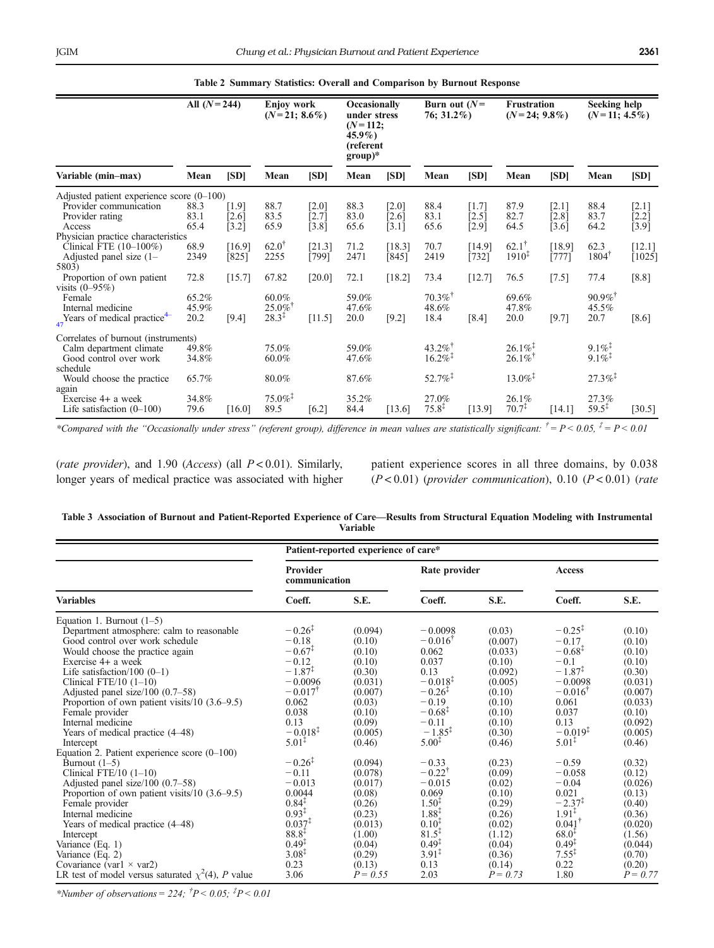Table 2 Summary Statistics: Overall and Comparison by Burnout Response

<span id="page-4-0"></span>

|                                                                 | All $(N=244)$  |         |                                | Enjoy work<br>$(N=21; 8.6\%)$ |                | <b>Occasionally</b><br>under stress<br>$(N=112)$ :<br>$45.9\%)$<br>(referent<br>$group)*$ |                                | Burn out $(N=$<br>$76; 31.2\%$ |                       | <b>Frustration</b><br>$(N=24; 9.8\%)$ |                                | Seeking help<br>$(N=11; 4.5\%)$ |  |
|-----------------------------------------------------------------|----------------|---------|--------------------------------|-------------------------------|----------------|-------------------------------------------------------------------------------------------|--------------------------------|--------------------------------|-----------------------|---------------------------------------|--------------------------------|---------------------------------|--|
| Variable (min-max)                                              | Mean           | [SD]    | Mean                           | [SD]                          | Mean           | [SD]                                                                                      | Mean                           | [SD]                           | Mean                  | [SD]                                  | Mean                           | [SD]                            |  |
| Adjusted patient experience score (0-100)                       |                |         |                                |                               |                |                                                                                           |                                |                                |                       |                                       |                                |                                 |  |
| Provider communication                                          | 88.3           | [1.9]   | 88.7                           | [2.0]                         | 88.3           | [2.0]                                                                                     | 88.4                           | $[1.7]$                        | 87.9                  | [2.1]                                 | 88.4                           | $[2.1]$                         |  |
| Provider rating                                                 | 83.1           | $[2.6]$ | 83.5                           | $[2.7]$                       | 83.0           | $[2.6]$                                                                                   | 83.1                           | $[2.5]$                        | 82.7                  | [2.8]                                 | 83.7                           | [2.2]                           |  |
| Access                                                          | 65.4           | $[3.2]$ | 65.9                           | $[3.8]$                       | 65.6           | $[3.1]$                                                                                   | 65.6                           | $[2.9]$                        | 64.5                  | $\left[3.6\right]$                    | 64.2                           | $[3.9]$                         |  |
| Physician practice characteristics<br>Clinical FTE $(10-100\%)$ | 68.9           | [16.9]  | $62.0^{\dagger}$               | [21.3]                        | 71.2           | [18.3]                                                                                    | 70.7                           | [14.9]                         | $62.1^{\dagger}$      | [18.9]                                | 62.3                           | $12.1$ ]                        |  |
| Adjusted panel size $(1 -$                                      | 2349           | $[825]$ | 2255                           | [799]                         | 2471           | [845]                                                                                     | 2419                           | [732]                          | 1910 <sup>1</sup>     | [777]                                 | $1804^{\dagger}$               | $[1025]$                        |  |
| 5803)                                                           |                |         |                                |                               |                |                                                                                           |                                |                                |                       |                                       |                                |                                 |  |
| Proportion of own patient                                       | 72.8           | [15.7]  | 67.82                          | [20.0]                        | 72.1           | $[18.2]$                                                                                  | 73.4                           | [12.7]                         | 76.5                  | [7.5]                                 | 77.4                           | $[8.8]$                         |  |
| visits $(0-95\%)$                                               |                |         |                                |                               |                |                                                                                           |                                |                                |                       |                                       |                                |                                 |  |
| Female<br>Internal medicine                                     | 65.2%<br>45.9% |         | 60.0%<br>$25.0\%$ <sup>†</sup> |                               | 59.0%<br>47.6% |                                                                                           | $70.3\%$ <sup>†</sup><br>48.6% |                                | 69.6%<br>47.8%        |                                       | $90.9\%$ <sup>†</sup><br>45.5% |                                 |  |
| $\frac{47}{47}$ Years of medical practice <sup>4-1</sup>        | 20.2           | $[9.4]$ | $28.3^{\ddagger}$              | [11.5]                        | 20.0           | $[9.2]$                                                                                   | 18.4                           | [8.4]                          | 20.0                  | $[9.7]$                               | 20.7                           | [8.6]                           |  |
|                                                                 |                |         |                                |                               |                |                                                                                           |                                |                                |                       |                                       |                                |                                 |  |
| Correlates of burnout (instruments)                             |                |         |                                |                               |                |                                                                                           |                                |                                |                       |                                       |                                |                                 |  |
| Calm department climate                                         | 49.8%          |         | 75.0%                          |                               | 59.0%          |                                                                                           | $43.2\%$ <sup>†</sup>          |                                | $26.1\%$ <sup>‡</sup> |                                       | $9.1\%$ <sup>‡</sup>           |                                 |  |
| Good control over work                                          | 34.8%          |         | 60.0%                          |                               | 47.6%          |                                                                                           | $16.2\%$ <sup>‡</sup>          |                                | $26.1\%$ <sup>†</sup> |                                       | $9.1\%$ <sup>‡</sup>           |                                 |  |
| schedule                                                        |                |         |                                |                               |                |                                                                                           | $52.7\%$ <sup>1</sup>          |                                | $13.0\%$ <sup>1</sup> |                                       | $27.3\%^{\ddagger}$            |                                 |  |
| Would choose the practice                                       | 65.7%          |         | 80.0%                          |                               | 87.6%          |                                                                                           |                                |                                |                       |                                       |                                |                                 |  |
| again<br>Exercise 4+ a week                                     | 34.8%          |         | $75.0\%$ <sup>‡</sup>          |                               | 35.2%          |                                                                                           | 27.0%                          |                                | 26.1%                 |                                       | 27.3%                          |                                 |  |
| Life satisfaction $(0-100)$                                     | 79.6           | [16.0]  | 89.5                           | $[6.2]$                       | 84.4           | [13.6]                                                                                    | $75.8^{\ddagger}$              | [13.9]                         | $70.7^{\ddagger}$     | [14.1]                                | $59.5^{\ddagger}$              | $[30.5]$                        |  |

\*Compared with the "Occasionally under stress" (referent group), difference in mean values are statistically significant:  $\dot{t} = P < 0.05$ ,  $\dot{t} = P < 0.01$ 

(rate provider), and 1.90 (Access) (all  $P < 0.01$ ). Similarly, longer years of medical practice was associated with higher patient experience scores in all three domains, by 0.038  $(P<0.01)$  (provider communication), 0.10  $(P<0.01)$  (rate

| Table 3 Association of Burnout and Patient-Reported Experience of Care-Results from Structural Equation Modeling with Instrumental |          |  |  |  |
|------------------------------------------------------------------------------------------------------------------------------------|----------|--|--|--|
|                                                                                                                                    | Variable |  |  |  |

|                                                         | Patient-reported experience of care* |            |                    |            |                    |            |  |  |  |
|---------------------------------------------------------|--------------------------------------|------------|--------------------|------------|--------------------|------------|--|--|--|
|                                                         | Provider<br>communication            |            | Rate provider      |            | <b>Access</b>      |            |  |  |  |
| <b>Variables</b>                                        | Coeff.                               | S.E.       | Coeff.             | S.E.       | Coeff.             | S.E.       |  |  |  |
| Equation 1. Burnout $(1-5)$                             |                                      |            |                    |            |                    |            |  |  |  |
| Department atmosphere: calm to reasonable               | $-0.26^{\ddagger}$                   | (0.094)    | $-0.0098$          | (0.03)     | $-0.25^{\ddagger}$ | (0.10)     |  |  |  |
| Good control over work schedule                         | $-0.18$                              | (0.10)     | $-0.016^{\dagger}$ | (0.007)    | $-0.17$            | (0.10)     |  |  |  |
| Would choose the practice again                         | $-0.67^{\ddagger}$                   | (0.10)     | 0.062              | (0.033)    | $-0.68^{\ddagger}$ | (0.10)     |  |  |  |
| Exercise 4+ a week                                      | $-0.12$                              | (0.10)     | 0.037              | (0.10)     | $-0.1$             | (0.10)     |  |  |  |
| Life satisfaction/100 $(0-1)$                           | $-1.87^{\ddagger}$                   | (0.30)     | 0.13               | (0.092)    | $-1.87^{\ddagger}$ | (0.30)     |  |  |  |
| Clinical FTE/10 $(1-10)$                                | $-0.0096$                            | (0.031)    | $-0.018^{4}$       | (0.005)    | $-0.0098$          | (0.031)    |  |  |  |
| Adjusted panel size/100 (0.7-58)                        | $-0.017^{\dagger}$                   | (0.007)    | $-0.26^{\ddagger}$ | (0.10)     | $-0.016^{\dagger}$ | (0.007)    |  |  |  |
| Proportion of own patient visits/10 (3.6–9.5)           | 0.062                                | (0.03)     | $-0.19$            | (0.10)     | 0.061              | (0.033)    |  |  |  |
| Female provider                                         | 0.038                                | (0.10)     | $-0.68^{\ddagger}$ | (0.10)     | 0.037              | (0.10)     |  |  |  |
| Internal medicine                                       | 0.13                                 | (0.09)     | $-0.11$            | (0.10)     | 0.13               | (0.092)    |  |  |  |
| Years of medical practice (4-48)                        | $-0.018^{\ddagger}$                  | (0.005)    | $-1.85^{\ddagger}$ | (0.30)     | $-0.019^{4}$       | (0.005)    |  |  |  |
| Intercept                                               | $5.01^{\ddagger}$                    | (0.46)     | $5.00^{\ddagger}$  | (0.46)     | $5.01^{\ddagger}$  | (0.46)     |  |  |  |
| Equation 2. Patient experience score $(0-100)$          |                                      |            |                    |            |                    |            |  |  |  |
| Burnout $(1-5)$                                         | $-0.26^{\ddagger}$                   | (0.094)    | $-0.33$            | (0.23)     | $-0.59$            | (0.32)     |  |  |  |
| Clinical FTE/10 $(1-10)$                                | $-0.11$                              | (0.078)    | $-0.22^{\dagger}$  | (0.09)     | $-0.058$           | (0.12)     |  |  |  |
| Adjusted panel size/100 $(0.7-58)$                      | $-0.013$                             | (0.017)    | $-0.015$           | (0.02)     | $-0.04$            | (0.026)    |  |  |  |
| Proportion of own patient visits/10 (3.6–9.5)           | 0.0044                               | (0.08)     | 0.069              | (0.10)     | 0.021              | (0.13)     |  |  |  |
| Female provider                                         | $0.84^{\ddagger}$                    | (0.26)     | $1.50^{1}$         | (0.29)     | $-2.37^{\ddagger}$ | (0.40)     |  |  |  |
| Internal medicine                                       | $0.93^{\ddagger}$                    | (0.23)     | $1.88^{\ddagger}$  | (0.26)     | $1.91^{\ddagger}$  | (0.36)     |  |  |  |
| Years of medical practice (4-48)                        | $0.037^{*}$                          | (0.013)    | $0.10^{1}$         | (0.02)     | $0.041^{\dagger}$  | (0.020)    |  |  |  |
| Intercept                                               | $88.8^{\ddagger}$                    | (1.00)     | $81.5^{\ddagger}$  | (1.12)     | $68.0^{\ddagger}$  | (1.56)     |  |  |  |
| Variance (Eq. 1)                                        | $0.49^{*}$                           | (0.04)     | $0.49^{\ddagger}$  | (0.04)     | $0.49^{\ddagger}$  | (0.044)    |  |  |  |
| Variance (Eq. 2)                                        | $3.08^{\ddagger}$                    | (0.29)     | $3.91^{1}$         | (0.36)     | $7.55^{\ddagger}$  | (0.70)     |  |  |  |
| Covariance (var $1 \times var2$ )                       | 0.23                                 | (0.13)     | 0.13               | (0.14)     | 0.22               | (0.20)     |  |  |  |
| LR test of model versus saturated $\chi^2(4)$ , P value | 3.06                                 | $P = 0.55$ | 2.03               | $P = 0.73$ | 1.80               | $P = 0.77$ |  |  |  |

\*Number of observations = 224;  $\dot{\ }P$  < 0.05;  $\dot{\ }P$  < 0.01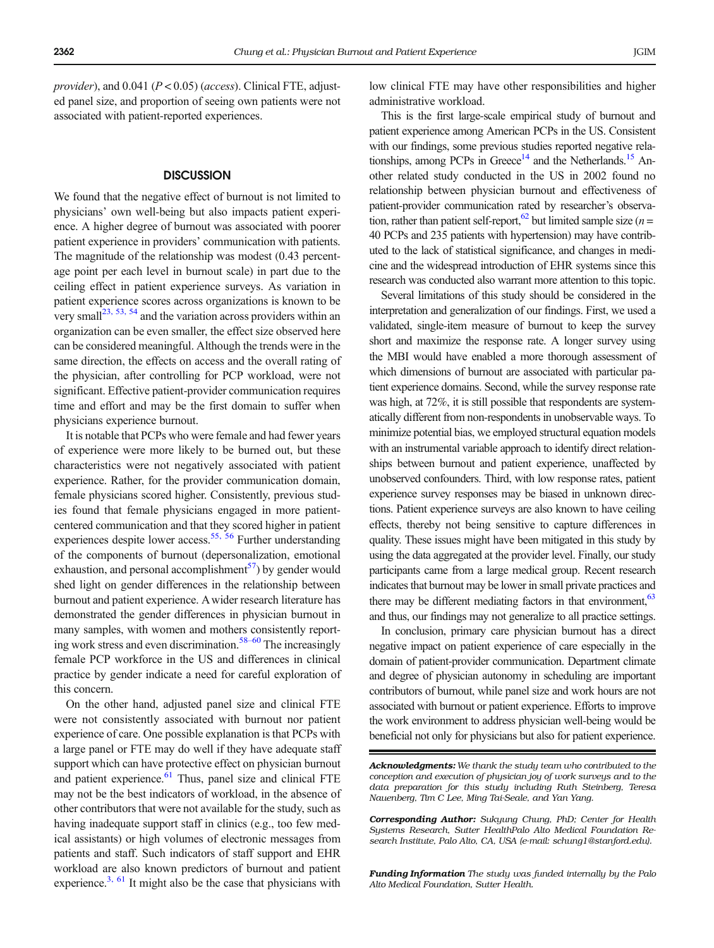provider), and  $0.041$  ( $P < 0.05$ ) (access). Clinical FTE, adjusted panel size, and proportion of seeing own patients were not associated with patient-reported experiences.

#### **DISCUSSION**

We found that the negative effect of burnout is not limited to physicians' own well-being but also impacts patient experience. A higher degree of burnout was associated with poorer patient experience in providers' communication with patients. The magnitude of the relationship was modest (0.43 percentage point per each level in burnout scale) in part due to the ceiling effect in patient experience surveys. As variation in patient experience scores across organizations is known to be very small $^{23, 53, 54}$  $^{23, 53, 54}$  $^{23, 53, 54}$  and the variation across providers within an organization can be even smaller, the effect size observed here can be considered meaningful. Although the trends were in the same direction, the effects on access and the overall rating of the physician, after controlling for PCP workload, were not significant. Effective patient-provider communication requires time and effort and may be the first domain to suffer when physicians experience burnout.

It is notable that PCPs who were female and had fewer years of experience were more likely to be burned out, but these characteristics were not negatively associated with patient experience. Rather, for the provider communication domain, female physicians scored higher. Consistently, previous studies found that female physicians engaged in more patientcentered communication and that they scored higher in patient experiences despite lower access.<sup>[55](#page-7-0), [56](#page-7-0)</sup> Further understanding of the components of burnout (depersonalization, emotional exhaustion, and personal accomplishment<sup>57</sup>) by gender would shed light on gender differences in the relationship between burnout and patient experience. A wider research literature has demonstrated the gender differences in physician burnout in many samples, with women and mothers consistently report-ing work stress and even discrimination.<sup>58–[60](#page-7-0)</sup> The increasingly female PCP workforce in the US and differences in clinical practice by gender indicate a need for careful exploration of this concern.

On the other hand, adjusted panel size and clinical FTE were not consistently associated with burnout nor patient experience of care. One possible explanation is that PCPs with a large panel or FTE may do well if they have adequate staff support which can have protective effect on physician burnout and patient experience. $61$  Thus, panel size and clinical FTE may not be the best indicators of workload, in the absence of other contributors that were not available for the study, such as having inadequate support staff in clinics (e.g., too few medical assistants) or high volumes of electronic messages from patients and staff. Such indicators of staff support and EHR workload are also known predictors of burnout and patient experience. $3, 61$  $3, 61$  It might also be the case that physicians with low clinical FTE may have other responsibilities and higher administrative workload.

This is the first large-scale empirical study of burnout and patient experience among American PCPs in the US. Consistent with our findings, some previous studies reported negative relationships, among PCPs in Greece<sup>14</sup> and the Netherlands.<sup>15</sup> Another related study conducted in the US in 2002 found no relationship between physician burnout and effectiveness of patient-provider communication rated by researcher's observation, rather than patient self-report,<sup>62</sup> but limited sample size (*n* = 40 PCPs and 235 patients with hypertension) may have contributed to the lack of statistical significance, and changes in medicine and the widespread introduction of EHR systems since this research was conducted also warrant more attention to this topic.

Several limitations of this study should be considered in the interpretation and generalization of our findings. First, we used a validated, single-item measure of burnout to keep the survey short and maximize the response rate. A longer survey using the MBI would have enabled a more thorough assessment of which dimensions of burnout are associated with particular patient experience domains. Second, while the survey response rate was high, at 72%, it is still possible that respondents are systematically different from non-respondents in unobservable ways. To minimize potential bias, we employed structural equation models with an instrumental variable approach to identify direct relationships between burnout and patient experience, unaffected by unobserved confounders. Third, with low response rates, patient experience survey responses may be biased in unknown directions. Patient experience surveys are also known to have ceiling effects, thereby not being sensitive to capture differences in quality. These issues might have been mitigated in this study by using the data aggregated at the provider level. Finally, our study participants came from a large medical group. Recent research indicates that burnout may be lower in small private practices and there may be different mediating factors in that environment,  $63$ and thus, our findings may not generalize to all practice settings.

In conclusion, primary care physician burnout has a direct negative impact on patient experience of care especially in the domain of patient-provider communication. Department climate and degree of physician autonomy in scheduling are important contributors of burnout, while panel size and work hours are not associated with burnout or patient experience. Efforts to improve the work environment to address physician well-being would be beneficial not only for physicians but also for patient experience.

Corresponding Author: Sukyung Chung, PhD; Center for Health Systems Research, Sutter HealthPalo Alto Medical Foundation Research Institute, Palo Alto, CA, USA (e-mail: schung1@stanford.edu).

Funding Information The study was funded internally by the Palo Alto Medical Foundation, Sutter Health.

Acknowledgments: We thank the study team who contributed to the conception and execution of physician joy of work surveys and to the data preparation for this study including Ruth Steinberg, Teresa Nauenberg, Tim C Lee, Ming Tai-Seale, and Yan Yang.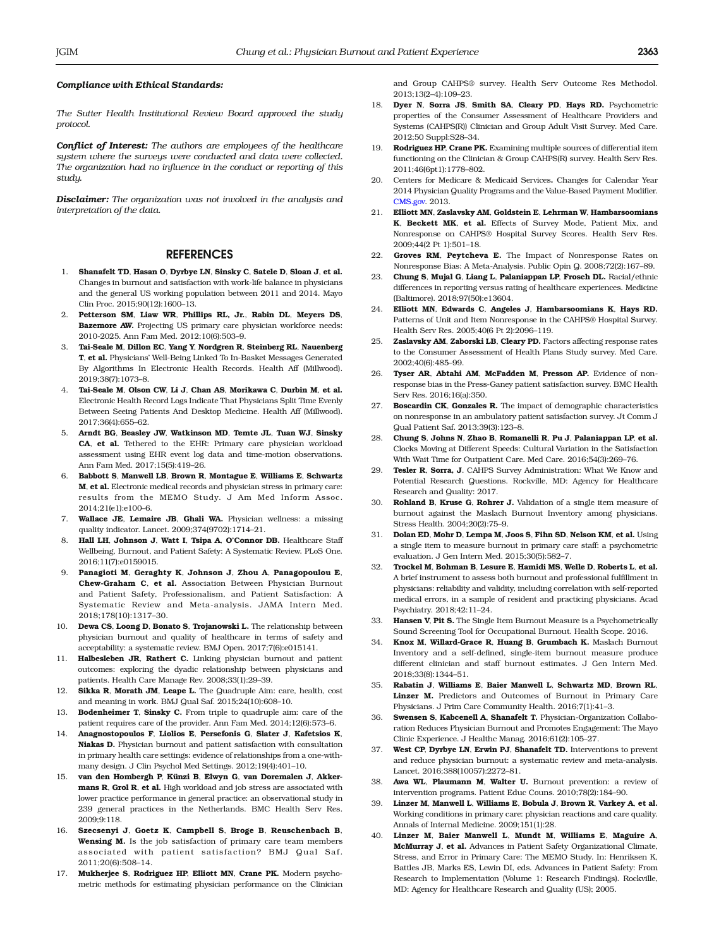#### <span id="page-6-0"></span>Compliance with Ethical Standards:

The Sutter Health Institutional Review Board approved the study protocol.

**Conflict of Interest:** The authors are employees of the healthcare system where the surveys were conducted and data were collected. The organization had no influence in the conduct or reporting of this study.

**Disclaimer:** The organization was not involved in the analysis and interpretation of the data.

#### **REFERENCES**

- 1. Shanafelt TD, Hasan O, Dyrbye LN, Sinsky C, Satele D, Sloan J, et al. Changes in burnout and satisfaction with work-life balance in physicians and the general US working population between 2011 and 2014. Mayo Clin Proc. 2015;90(12):1600–13.
- 2. Petterson SM, Liaw WR, Phillips RL, Jr., Rabin DL, Meyers DS, Bazemore AW. Projecting US primary care physician workforce needs: 2010-2025. Ann Fam Med. 2012;10(6):503–9.
- 3. Tai-Seale M, Dillon EC, Yang Y, Nordgren R, Steinberg RL, Nauenberg T, et al. Physicians' Well-Being Linked To In-Basket Messages Generated By Algorithms In Electronic Health Records. Health Aff (Millwood). 2019;38(7):1073–8.
- 4. Tai-Seale M, Olson CW, Li J, Chan AS, Morikawa C, Durbin M, et al. Electronic Health Record Logs Indicate That Physicians Split Time Evenly Between Seeing Patients And Desktop Medicine. Health Aff (Millwood). 2017;36(4):655–62.
- 5. Arndt BG, Beasley JW, Watkinson MD, Temte JL, Tuan WJ, Sinsky CA, et al. Tethered to the EHR: Primary care physician workload assessment using EHR event log data and time-motion observations. Ann Fam Med. 2017;15(5):419–26.
- 6. Babbott S, Manwell LB, Brown R, Montague E, Williams E, Schwartz M, et al. Electronic medical records and physician stress in primary care: results from the MEMO Study. J Am Med Inform Assoc. 2014;21(e1):e100–6.
- 7. Wallace JE, Lemaire JB, Ghali WA. Physician wellness: a missing quality indicator. Lancet. 2009;374(9702):1714–21.
- 8. Hall LH, Johnson J, Watt I, Tsipa A, O'Connor DB. Healthcare Staff Wellbeing, Burnout, and Patient Safety: A Systematic Review. PLoS One. 2016;11(7):e0159015.
- 9. Panagioti M, Geraghty K, Johnson J, Zhou A, Panagopoulou E, Chew-Graham C, et al. Association Between Physician Burnout and Patient Safety, Professionalism, and Patient Satisfaction: A Systematic Review and Meta-analysis. JAMA Intern Med. 2018;178(10):1317–30.
- 10. Dewa CS, Loong D, Bonato S, Trojanowski L. The relationship between physician burnout and quality of healthcare in terms of safety and acceptability: a systematic review. BMJ Open. 2017;7(6):e015141.
- 11. Halbesleben JR, Rathert C. Linking physician burnout and patient outcomes: exploring the dyadic relationship between physicians and patients. Health Care Manage Rev. 2008;33(1):29–39.
- 12. Sikka R, Morath JM, Leape L. The Quadruple Aim: care, health, cost and meaning in work. BMJ Qual Saf. 2015;24(10):608–10.
- 13. Bodenheimer T, Sinsky C. From triple to quadruple aim: care of the patient requires care of the provider. Ann Fam Med. 2014;12(6):573–6.
- 14. Anagnostopoulos F, Liolios E, Persefonis G, Slater J, Kafetsios K, Niakas D. Physician burnout and patient satisfaction with consultation in primary health care settings: evidence of relationships from a one-withmany design. J Clin Psychol Med Settings. 2012;19(4):401–10.
- 15. van den Hombergh P, Künzi B, Elwyn G, van Doremalen J, Akkermans R. Grol R, et al. High workload and job stress are associated with lower practice performance in general practice: an observational study in 239 general practices in the Netherlands. BMC Health Serv Res. 2009;9:118.
- 16. Szecsenyi J, Goetz K, Campbell S, Broge B, Reuschenbach B, Wensing M. Is the job satisfaction of primary care team members associated with patient satisfaction? BMJ Qual Saf. 2011;20(6):508–14.
- 17. Mukherjee S, Rodriguez HP, Elliott MN, Crane PK. Modern psychometric methods for estimating physician performance on the Clinician

and Group CAHPS® survey. Health Serv Outcome Res Methodol. 2013;13(2–4):109–23.

- 18. Dyer N, Sorra JS, Smith SA, Cleary PD, Hays RD. Psychometric properties of the Consumer Assessment of Healthcare Providers and Systems (CAHPS(R)) Clinician and Group Adult Visit Survey. Med Care. 2012;50 Suppl:S28–34.
- 19. Rodriguez HP, Crane PK. Examining multiple sources of differential item functioning on the Clinician & Group CAHPS(R) survey. Health Serv Res. 2011;46(6pt1):1778–802.
- 20. Centers for Medicare & Medicaid Services. Changes for Calendar Year 2014 Physician Quality Programs and the Value-Based Payment Modifier. [CMS.gov.](http://dx.doi.org/http://cms.gov) 2013.
- 21. Elliott MN, Zaslavsky AM, Goldstein E, Lehrman W, Hambarsoomians K, Beckett MK, et al. Effects of Survey Mode, Patient Mix, and Nonresponse on CAHPS® Hospital Survey Scores. Health Serv Res. 2009;44(2 Pt 1):501–18.
- 22. Groves RM, Peytcheva E. The Impact of Nonresponse Rates on Nonresponse Bias: A Meta-Analysis. Public Opin Q. 2008;72(2):167–89.
- 23. Chung S, Mujal G, Liang L, Palaniappan LP, Frosch DL. Racial/ethnic differences in reporting versus rating of healthcare experiences. Medicine (Baltimore). 2018;97(50):e13604.
- 24. Elliott MN, Edwards C, Angeles J, Hambarsoomians K, Hays RD. Patterns of Unit and Item Nonresponse in the CAHPS® Hospital Survey. Health Serv Res. 2005;40(6 Pt 2):2096–119.
- 25. Zaslavsky AM, Zaborski LB, Cleary PD. Factors affecting response rates to the Consumer Assessment of Health Plans Study survey. Med Care. 2002;40(6):485–99.
- 26. Tyser AR, Abtahi AM, McFadden M, Presson AP. Evidence of nonresponse bias in the Press-Ganey patient satisfaction survey. BMC Health Serv Res. 2016;16(a):350.
- 27. Boscardin CK, Gonzales R. The impact of demographic characteristics on nonresponse in an ambulatory patient satisfaction survey. Jt Comm J Qual Patient Saf. 2013;39(3):123–8.
- 28. Chung S, Johns N, Zhao B, Romanelli R, Pu J, Palaniappan LP, et al. Clocks Moving at Different Speeds: Cultural Variation in the Satisfaction With Wait Time for Outpatient Care. Med Care. 2016;54(3):269–76.
- 29. Tesler R, Sorra, J. CAHPS Survey Administration: What We Know and Potential Research Questions. Rockville, MD: Agency for Healthcare Research and Quality: 2017.
- 30. Rohland B, Kruse G, Rohrer J. Validation of a single item measure of burnout against the Maslach Burnout Inventory among physicians. Stress Health. 2004;20(2):75–9.
- 31. Dolan ED, Mohr D, Lempa M, Joos S, Fihn SD, Nelson KM, et al. Using a single item to measure burnout in primary care staff: a psychometric evaluation. J Gen Intern Med. 2015;30(5):582–7.
- 32. Trockel M, Bohman B, Lesure E, Hamidi MS, Welle D, Roberts L, et al. A brief instrument to assess both burnout and professional fulfillment in physicians: reliability and validity, including correlation with self-reported medical errors, in a sample of resident and practicing physicians. Acad Psychiatry. 2018;42:11–24.
- 33. Hansen V, Pit S. The Single Item Burnout Measure is a Psychometrically Sound Screening Tool for Occupational Burnout. Health Scope. 2016.
- 34. Knox M, Willard-Grace R, Huang B, Grumbach K. Maslach Burnout Inventory and a self-defined, single-item burnout measure produce different clinician and staff burnout estimates. J Gen Intern Med. 2018;33(8):1344–51.
- 35. Rabatin J, Williams E, Baier Manwell L, Schwartz MD, Brown RL, Linzer M. Predictors and Outcomes of Burnout in Primary Care Physicians. J Prim Care Community Health. 2016;7(1):41–3.
- Swensen S, Kabcenell A, Shanafelt T. Physician-Organization Collaboration Reduces Physician Burnout and Promotes Engagement: The Mayo Clinic Experience. J Healthc Manag. 2016;61(2):105–27.
- 37. West CP, Dyrbye LN, Erwin PJ, Shanafelt TD. Interventions to prevent and reduce physician burnout: a systematic review and meta-analysis. Lancet. 2016;388(10057):2272–81.
- 38. Awa WL, Plaumann M, Walter U. Burnout prevention: a review of intervention programs. Patient Educ Couns. 2010;78(2):184–90.
- 39. Linzer M, Manwell L, Williams E, Bobula J, Brown R, Varkey A, et al. Working conditions in primary care: physician reactions and care quality. Annals of Internal Medicine. 2009;151(1):28.
- 40. Linzer M, Baier Manwell L, Mundt M, Williams E, Maguire A, McMurray J, et al. Advances in Patient Safety Organizational Climate, Stress, and Error in Primary Care: The MEMO Study. In: Henriksen K, Battles JB, Marks ES, Lewin DI, eds. Advances in Patient Safety: From Research to Implementation (Volume 1: Research Findings). Rockville, MD: Agency for Healthcare Research and Quality (US); 2005.